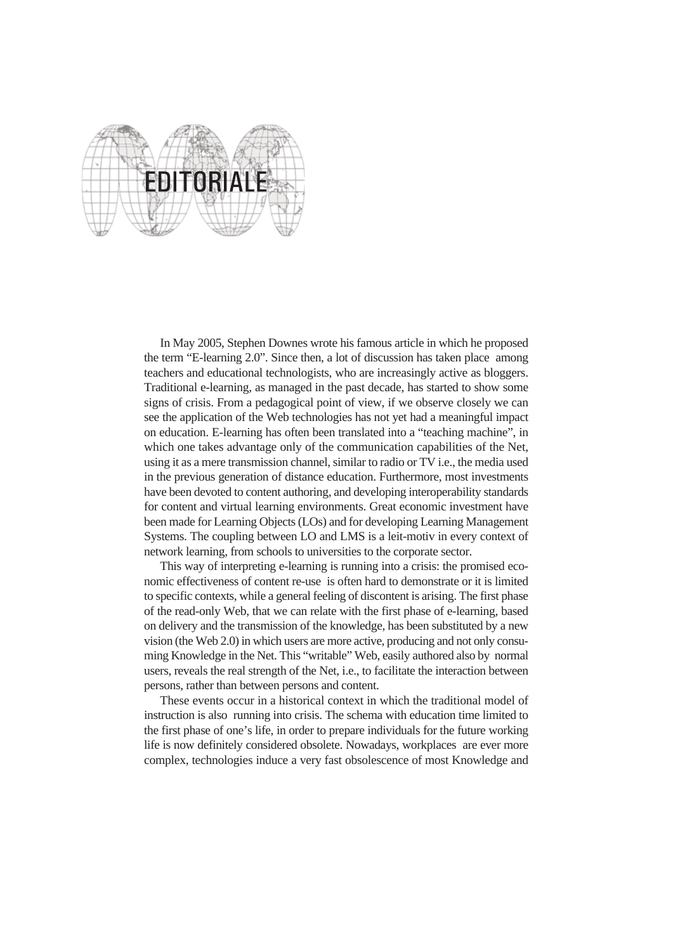

In May 2005, Stephen Downes wrote his famous article in which he proposed the term "E-learning 2.0". Since then, a lot of discussion has taken place among teachers and educational technologists, who are increasingly active as bloggers. Traditional e-learning, as managed in the past decade, has started to show some signs of crisis. From a pedagogical point of view, if we observe closely we can see the application of the Web technologies has not yet had a meaningful impact on education. E-learning has often been translated into a "teaching machine", in which one takes advantage only of the communication capabilities of the Net, using it as a mere transmission channel, similar to radio or TV i.e., the media used in the previous generation of distance education. Furthermore, most investments have been devoted to content authoring, and developing interoperability standards for content and virtual learning environments. Great economic investment have been made for Learning Objects (LOs) and for developing Learning Management Systems. The coupling between LO and LMS is a leit-motiv in every context of network learning, from schools to universities to the corporate sector.

This way of interpreting e-learning is running into a crisis: the promised economic effectiveness of content re-use is often hard to demonstrate or it is limited to specific contexts, while a general feeling of discontent is arising. The first phase of the read-only Web, that we can relate with the first phase of e-learning, based on delivery and the transmission of the knowledge, has been substituted by a new vision (the Web 2.0) in which users are more active, producing and not only consuming Knowledge in the Net. This "writable" Web, easily authored also by normal users, reveals the real strength of the Net, i.e., to facilitate the interaction between persons, rather than between persons and content.

These events occur in a historical context in which the traditional model of instruction is also running into crisis. The schema with education time limited to the first phase of one's life, in order to prepare individuals for the future working life is now definitely considered obsolete. Nowadays, workplaces are ever more complex, technologies induce a very fast obsolescence of most Knowledge and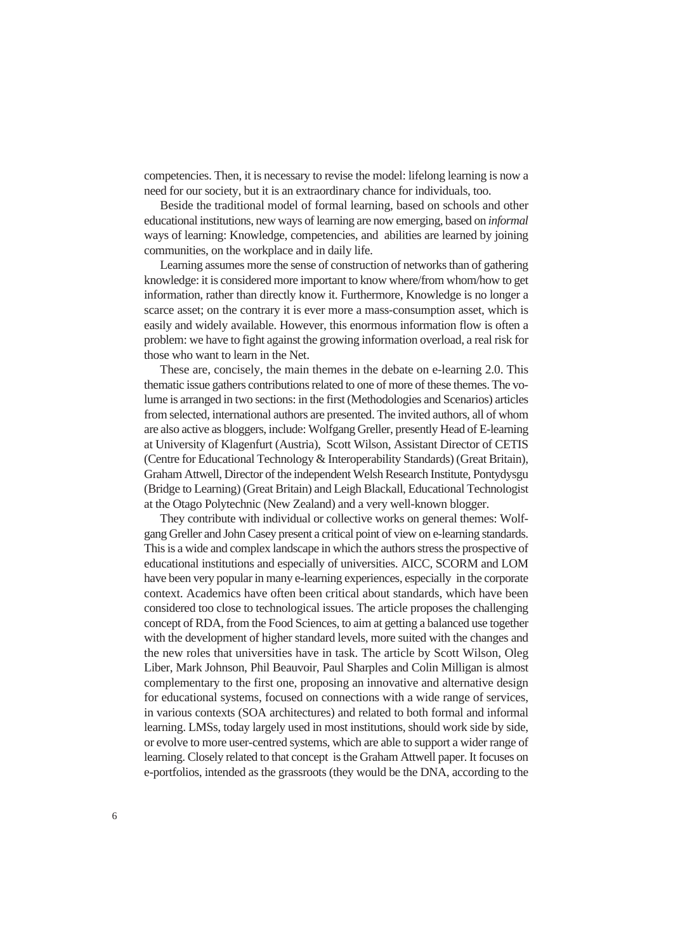competencies. Then, it is necessary to revise the model: lifelong learning is now a need for our society, but it is an extraordinary chance for individuals, too.

Beside the traditional model of formal learning, based on schools and other educational institutions, new ways of learning are now emerging, based on *informal*  ways of learning: Knowledge, competencies, and abilities are learned by joining communities, on the workplace and in daily life.

Learning assumes more the sense of construction of networks than of gathering knowledge: it is considered more important to know where/from whom/how to get information, rather than directly know it. Furthermore, Knowledge is no longer a scarce asset; on the contrary it is ever more a mass-consumption asset, which is easily and widely available. However, this enormous information flow is often a problem: we have to fight against the growing information overload, a real risk for those who want to learn in the Net.

These are, concisely, the main themes in the debate on e-learning 2.0. This thematic issue gathers contributions related to one of more of these themes. The volume is arranged in two sections: in the first (Methodologies and Scenarios) articles from selected, international authors are presented. The invited authors, all of whom are also active as bloggers, include: Wolfgang Greller, presently Head of E-learning at University of Klagenfurt (Austria), Scott Wilson, Assistant Director of CETIS (Centre for Educational Technology & Interoperability Standards) (Great Britain), Graham Attwell, Director of the independent Welsh Research Institute, Pontydysgu (Bridge to Learning) (Great Britain) and Leigh Blackall, Educational Technologist at the Otago Polytechnic (New Zealand) and a very well-known blogger.

They contribute with individual or collective works on general themes: Wolfgang Greller and John Casey present a critical point of view on e-learning standards. This is a wide and complex landscape in which the authors stress the prospective of educational institutions and especially of universities. AICC, SCORM and LOM have been very popular in many e-learning experiences, especially in the corporate context. Academics have often been critical about standards, which have been considered too close to technological issues. The article proposes the challenging concept of RDA, from the Food Sciences, to aim at getting a balanced use together with the development of higher standard levels, more suited with the changes and the new roles that universities have in task. The article by Scott Wilson, Oleg Liber, Mark Johnson, Phil Beauvoir, Paul Sharples and Colin Milligan is almost complementary to the first one, proposing an innovative and alternative design for educational systems, focused on connections with a wide range of services, in various contexts (SOA architectures) and related to both formal and informal learning. LMSs, today largely used in most institutions, should work side by side, or evolve to more user-centred systems, which are able to support a wider range of learning. Closely related to that concept is the Graham Attwell paper. It focuses on e-portfolios, intended as the grassroots (they would be the DNA, according to the